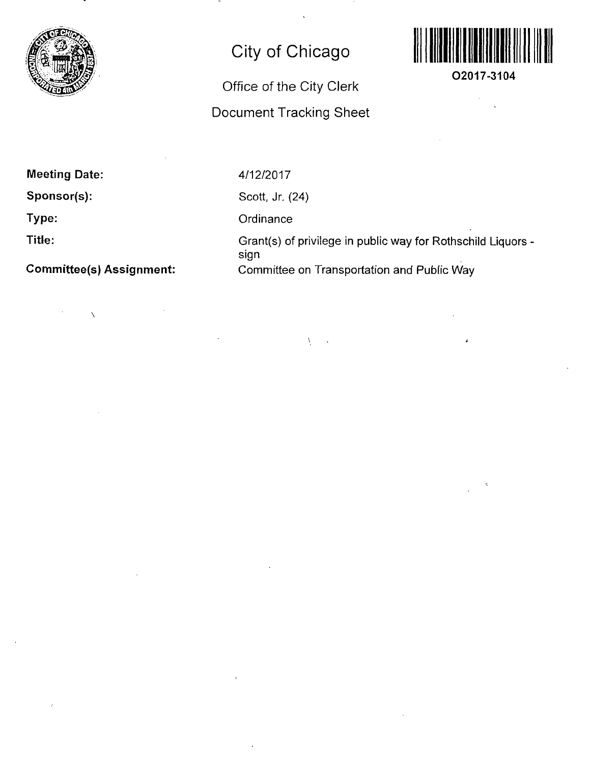

## City of Chicago

## Office of the City Clerk Document Tracking Sheet

 $\bar{V}$ 



**02017-3104** 

Meeting Date:

Sponsor(s):

Type:

Title:

Committee(s) Assignment:

4/12/2017

Scott, Jr. (24)

**Ordinance** 

Grant(s) of privilege in public way for Rothschild Liquors sign Committee on Transportation and Public Way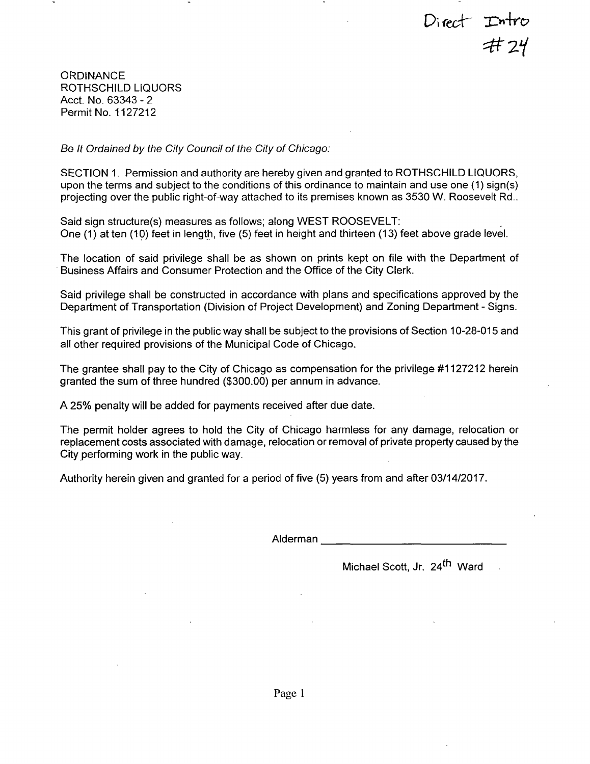Direct Intro<br>#24

**ORDINANCE** ROTHSCHILD LIQUORS Acct. No. 63343 - 2 Permit No. 1127212

*Se It Ordained by the City Council of the City of Chicago:* 

SECTION 1. Permission and authority are hereby given and granted to ROTHSCHILD LIQUORS, upon the terms and subject to the conditions ofthis ordinance to maintain and use one (1) sign(s) projecting overthe public right-of-way attached to its premises known as 3530 W. Roosevelt Rd..

Said sign structure(s) measures as follows; along WEST ROOSEVELT: One (1) at ten (10) feet in length, five (5) feet in height and thirteen (13) feet above grade level.

The location of said privilege shall be as shown on prints kept on file with the Department of Business Affairs and Consumer Protection and the Office of the City Clerk.

Said privilege shall be constructed in accordance with plans and specifications approved by the Department of Transportation (Division of Project Development) and Zoning Department - Signs.

This grant of privilege in the public way shall be subject to the provisions of Section 10-28-015 and all other required provisions of the Municipal Code of Chicago.

The grantee shall pay to the City of Chicago as compensation for the privilege #1127212 herein granted the sum of three hundred (\$300.00) per annum in advance.

A 25% penalty will be added for payments received after due date.

The permit holder agrees to hold the City of Chicago harmless for any damage, relocation or replacement costs associated with damage, relocation or removal of private property caused by the City performing work in the public way.

Authority herein given and granted for a period of five (5) years from and after 03/14/2017.

Alderman

Michael Scott, Jr. 24<sup>th</sup> Ward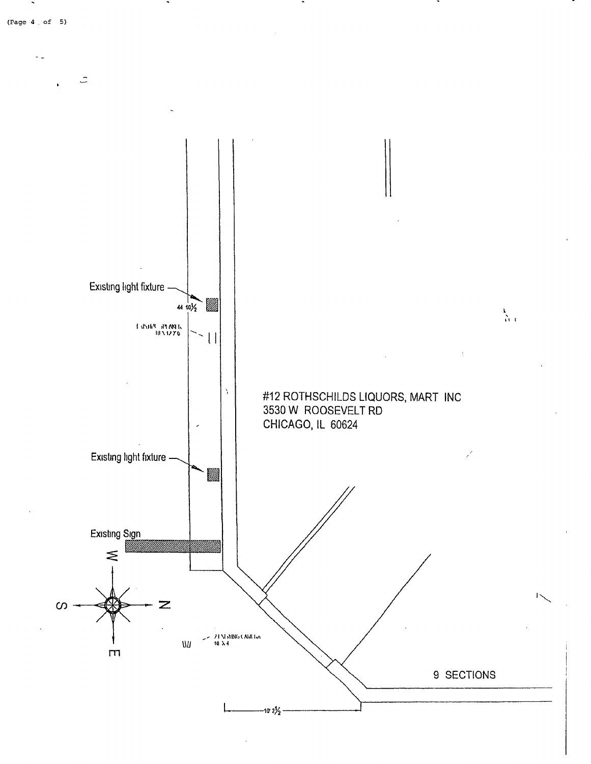

 $\ddot{\phantom{1}}$ 

 $\ddot{\phantom{a}}$